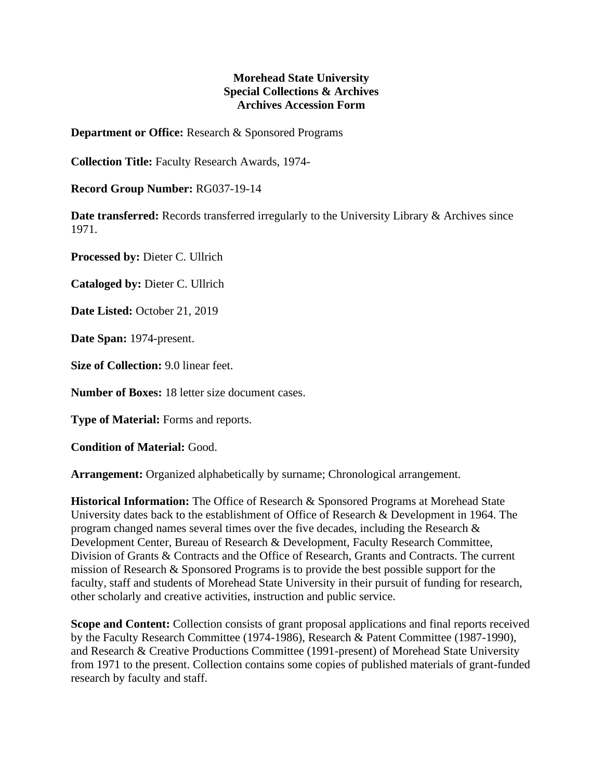## **Morehead State University Special Collections & Archives Archives Accession Form**

**Department or Office:** Research & Sponsored Programs

**Collection Title:** Faculty Research Awards, 1974-

**Record Group Number:** RG037-19-14

**Date transferred:** Records transferred irregularly to the University Library & Archives since 1971.

**Processed by:** Dieter C. Ullrich

**Cataloged by:** Dieter C. Ullrich

**Date Listed:** October 21, 2019

**Date Span:** 1974-present.

**Size of Collection:** 9.0 linear feet.

**Number of Boxes:** 18 letter size document cases.

**Type of Material:** Forms and reports.

**Condition of Material:** Good.

**Arrangement:** Organized alphabetically by surname; Chronological arrangement.

**Historical Information:** The Office of Research & Sponsored Programs at Morehead State University dates back to the establishment of Office of Research & Development in 1964. The program changed names several times over the five decades, including the Research & Development Center, Bureau of Research & Development, Faculty Research Committee, Division of Grants & Contracts and the Office of Research, Grants and Contracts. The current mission of Research & Sponsored Programs is to provide the best possible support for the faculty, staff and students of Morehead State University in their pursuit of funding for research, other scholarly and creative activities, instruction and public service.

**Scope and Content:** Collection consists of grant proposal applications and final reports received by the Faculty Research Committee (1974-1986), Research & Patent Committee (1987-1990), and Research & Creative Productions Committee (1991-present) of Morehead State University from 1971 to the present. Collection contains some copies of published materials of grant-funded research by faculty and staff.